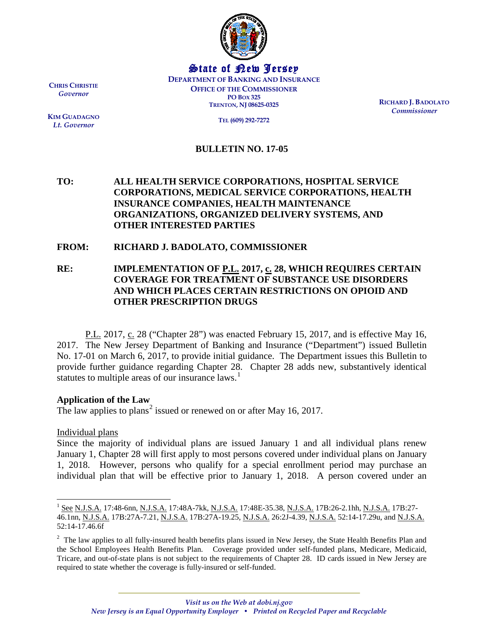

State of New Jersey **DEPARTMENT OF BANKING AND INSURANCE OFFICE OF THE COMMISSIONER PO BOX 325 TRENTON, NJ 08625-0325**

**RICHARD J. BADOLATO** *Commissioner*

**TEL (609) 292-7272**

### **BULLETIN NO. 17-05**

# **TO: ALL HEALTH SERVICE CORPORATIONS, HOSPITAL SERVICE CORPORATIONS, MEDICAL SERVICE CORPORATIONS, HEALTH INSURANCE COMPANIES, HEALTH MAINTENANCE ORGANIZATIONS, ORGANIZED DELIVERY SYSTEMS, AND OTHER INTERESTED PARTIES**

#### **FROM: RICHARD J. BADOLATO, COMMISSIONER**

**RE: IMPLEMENTATION OF P.L. 2017, c. 28, WHICH REQUIRES CERTAIN COVERAGE FOR TREATMENT OF SUBSTANCE USE DISORDERS AND WHICH PLACES CERTAIN RESTRICTIONS ON OPIOID AND OTHER PRESCRIPTION DRUGS**

P.L. 2017, c. 28 ("Chapter 28") was enacted February 15, 2017, and is effective May 16, 2017. The New Jersey Department of Banking and Insurance ("Department") issued [Bulletin](http://www.state.nj.us/dobi/bulletins/blt17_01.pdf)  [No. 17-01](http://www.state.nj.us/dobi/bulletins/blt17_01.pdf) on March 6, 2017, to provide initial guidance. The Department issues this Bulletin to provide further guidance regarding Chapter 28. Chapter 28 adds new, substantively identical statutes to multiple areas of our insurance laws.<sup>[1](#page-0-0)</sup>

#### **Application of the Law**

The law applies to plans<sup>[2](#page-0-1)</sup> issued or renewed on or after May 16, 2017.

Individual plans

 $\overline{\phantom{a}}$ 

Since the majority of individual plans are issued January 1 and all individual plans renew January 1, Chapter 28 will first apply to most persons covered under individual plans on January 1, 2018. However, persons who qualify for a special enrollment period may purchase an individual plan that will be effective prior to January 1, 2018. A person covered under an

**CHRIS CHRISTIE** *Governor*

**KIM GUADAGNO** *Lt. Governor*

<span id="page-0-0"></span><sup>&</sup>lt;sup>1</sup> See N.J.S.A. 17:48-6nn, N.J.S.A. 17:48A-7kk, N.J.S.A. 17:48E-35.38, N.J.S.A. 17B:26-2.1hh, N.J.S.A. 17B:27-46.1nn, N.J.S.A. 17B:27A-7.21, N.J.S.A. 17B:27A-19.25, N.J.S.A. 26:2J-4.39, N.J.S.A. 52:14-17.29u, and N.J.S.A. 52:14-17.46.6f

<span id="page-0-1"></span> $2$  The law applies to all fully-insured health benefits plans issued in New Jersey, the State Health Benefits Plan and the School Employees Health Benefits Plan. Coverage provided under self-funded plans, Medicare, Medicaid, Tricare, and out-of-state plans is not subject to the requirements of Chapter 28. ID cards issued in New Jersey are required to state whether the coverage is fully-insured or self-funded.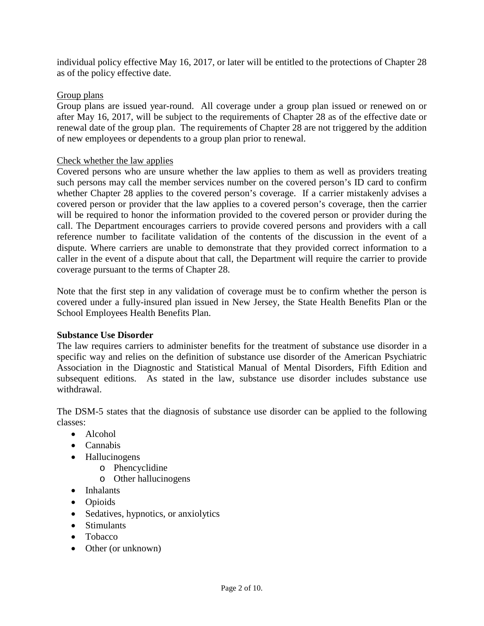individual policy effective May 16, 2017, or later will be entitled to the protections of Chapter 28 as of the policy effective date.

# Group plans

Group plans are issued year-round. All coverage under a group plan issued or renewed on or after May 16, 2017, will be subject to the requirements of Chapter 28 as of the effective date or renewal date of the group plan. The requirements of Chapter 28 are not triggered by the addition of new employees or dependents to a group plan prior to renewal.

# Check whether the law applies

Covered persons who are unsure whether the law applies to them as well as providers treating such persons may call the member services number on the covered person's ID card to confirm whether Chapter 28 applies to the covered person's coverage. If a carrier mistakenly advises a covered person or provider that the law applies to a covered person's coverage, then the carrier will be required to honor the information provided to the covered person or provider during the call. The Department encourages carriers to provide covered persons and providers with a call reference number to facilitate validation of the contents of the discussion in the event of a dispute. Where carriers are unable to demonstrate that they provided correct information to a caller in the event of a dispute about that call, the Department will require the carrier to provide coverage pursuant to the terms of Chapter 28.

Note that the first step in any validation of coverage must be to confirm whether the person is covered under a fully-insured plan issued in New Jersey, the State Health Benefits Plan or the School Employees Health Benefits Plan.

# **Substance Use Disorder**

The law requires carriers to administer benefits for the treatment of substance use disorder in a specific way and relies on the definition of substance use disorder of the American Psychiatric Association in the Diagnostic and Statistical Manual of Mental Disorders, Fifth Edition and subsequent editions. As stated in the law, substance use disorder includes substance use withdrawal.

The DSM-5 states that the diagnosis of substance use disorder can be applied to the following classes:

- Alcohol
- Cannabis
- Hallucinogens
	- o Phencyclidine
		- o Other hallucinogens
- Inhalants
- Opioids
- Sedatives, hypnotics, or anxiolytics
- Stimulants
- Tobacco
- Other (or unknown)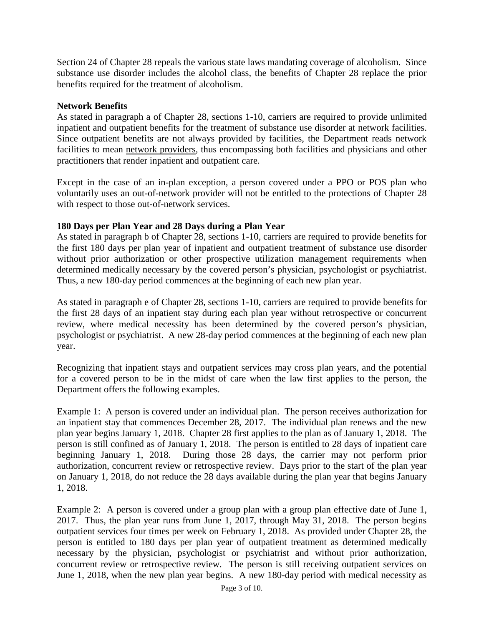Section 24 of Chapter 28 repeals the various state laws mandating coverage of alcoholism. Since substance use disorder includes the alcohol class, the benefits of Chapter 28 replace the prior benefits required for the treatment of alcoholism.

# **Network Benefits**

As stated in paragraph a of Chapter 28, sections 1-10, carriers are required to provide unlimited inpatient and outpatient benefits for the treatment of substance use disorder at network facilities. Since outpatient benefits are not always provided by facilities, the Department reads network facilities to mean network providers, thus encompassing both facilities and physicians and other practitioners that render inpatient and outpatient care.

Except in the case of an in-plan exception, a person covered under a PPO or POS plan who voluntarily uses an out-of-network provider will not be entitled to the protections of Chapter 28 with respect to those out-of-network services.

# **180 Days per Plan Year and 28 Days during a Plan Year**

As stated in paragraph b of Chapter 28, sections 1-10, carriers are required to provide benefits for the first 180 days per plan year of inpatient and outpatient treatment of substance use disorder without prior authorization or other prospective utilization management requirements when determined medically necessary by the covered person's physician, psychologist or psychiatrist. Thus, a new 180-day period commences at the beginning of each new plan year.

As stated in paragraph e of Chapter 28, sections 1-10, carriers are required to provide benefits for the first 28 days of an inpatient stay during each plan year without retrospective or concurrent review, where medical necessity has been determined by the covered person's physician, psychologist or psychiatrist. A new 28-day period commences at the beginning of each new plan year.

Recognizing that inpatient stays and outpatient services may cross plan years, and the potential for a covered person to be in the midst of care when the law first applies to the person, the Department offers the following examples.

Example 1: A person is covered under an individual plan. The person receives authorization for an inpatient stay that commences December 28, 2017. The individual plan renews and the new plan year begins January 1, 2018. Chapter 28 first applies to the plan as of January 1, 2018. The person is still confined as of January 1, 2018. The person is entitled to 28 days of inpatient care beginning January 1, 2018. During those 28 days, the carrier may not perform prior authorization, concurrent review or retrospective review. Days prior to the start of the plan year on January 1, 2018, do not reduce the 28 days available during the plan year that begins January 1, 2018.

Example 2: A person is covered under a group plan with a group plan effective date of June 1, 2017. Thus, the plan year runs from June 1, 2017, through May 31, 2018. The person begins outpatient services four times per week on February 1, 2018. As provided under Chapter 28, the person is entitled to 180 days per plan year of outpatient treatment as determined medically necessary by the physician, psychologist or psychiatrist and without prior authorization, concurrent review or retrospective review. The person is still receiving outpatient services on June 1, 2018, when the new plan year begins. A new 180-day period with medical necessity as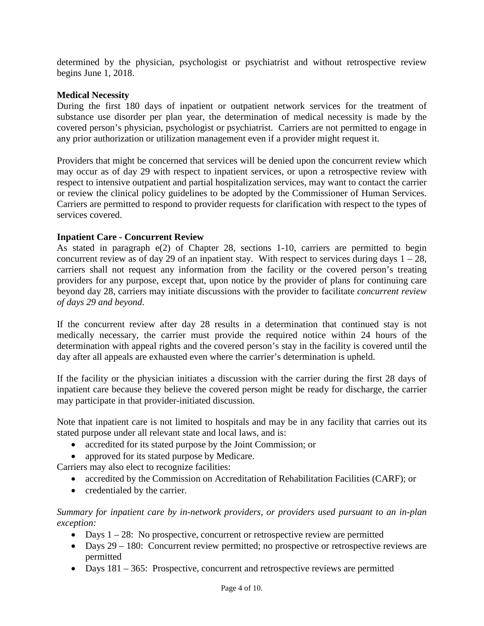determined by the physician, psychologist or psychiatrist and without retrospective review begins June 1, 2018.

### **Medical Necessity**

During the first 180 days of inpatient or outpatient network services for the treatment of substance use disorder per plan year, the determination of medical necessity is made by the covered person's physician, psychologist or psychiatrist. Carriers are not permitted to engage in any prior authorization or utilization management even if a provider might request it.

Providers that might be concerned that services will be denied upon the concurrent review which may occur as of day 29 with respect to inpatient services, or upon a retrospective review with respect to intensive outpatient and partial hospitalization services, may want to contact the carrier or review the clinical policy guidelines to be adopted by the Commissioner of Human Services. Carriers are permitted to respond to provider requests for clarification with respect to the types of services covered.

## **Inpatient Care - Concurrent Review**

As stated in paragraph e(2) of Chapter 28, sections 1-10, carriers are permitted to begin concurrent review as of day 29 of an inpatient stay. With respect to services during days  $1 - 28$ , carriers shall not request any information from the facility or the covered person's treating providers for any purpose, except that, upon notice by the provider of plans for continuing care beyond day 28, carriers may initiate discussions with the provider to facilitate *concurrent review of days 29 and beyond*.

If the concurrent review after day 28 results in a determination that continued stay is not medically necessary, the carrier must provide the required notice within 24 hours of the determination with appeal rights and the covered person's stay in the facility is covered until the day after all appeals are exhausted even where the carrier's determination is upheld.

If the facility or the physician initiates a discussion with the carrier during the first 28 days of inpatient care because they believe the covered person might be ready for discharge, the carrier may participate in that provider-initiated discussion.

Note that inpatient care is not limited to hospitals and may be in any facility that carries out its stated purpose under all relevant state and local laws, and is:

- accredited for its stated purpose by the Joint Commission; or
- approved for its stated purpose by Medicare.

Carriers may also elect to recognize facilities:

- accredited by the Commission on Accreditation of Rehabilitation Facilities (CARF); or
- credentialed by the carrier.

#### *Summary for inpatient care by in-network providers, or providers used pursuant to an in-plan exception:*

- Days  $1 28$ : No prospective, concurrent or retrospective review are permitted
- Days 29 180: Concurrent review permitted; no prospective or retrospective reviews are permitted
- Days 181 365: Prospective, concurrent and retrospective reviews are permitted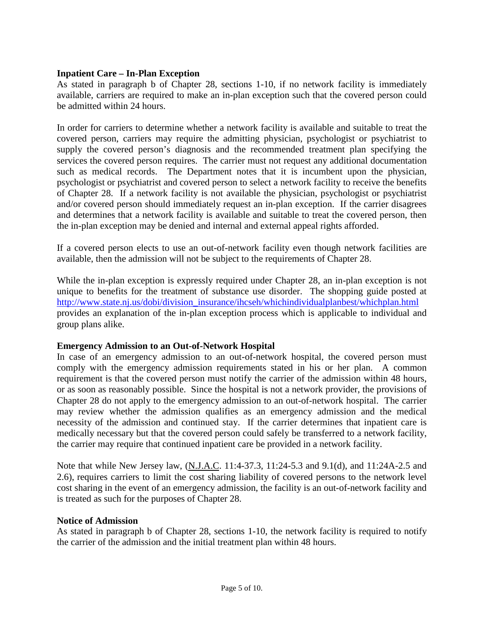## **Inpatient Care – In-Plan Exception**

As stated in paragraph b of Chapter 28, sections 1-10, if no network facility is immediately available, carriers are required to make an in-plan exception such that the covered person could be admitted within 24 hours.

In order for carriers to determine whether a network facility is available and suitable to treat the covered person, carriers may require the admitting physician, psychologist or psychiatrist to supply the covered person's diagnosis and the recommended treatment plan specifying the services the covered person requires. The carrier must not request any additional documentation such as medical records. The Department notes that it is incumbent upon the physician, psychologist or psychiatrist and covered person to select a network facility to receive the benefits of Chapter 28. If a network facility is not available the physician, psychologist or psychiatrist and/or covered person should immediately request an in-plan exception. If the carrier disagrees and determines that a network facility is available and suitable to treat the covered person, then the in-plan exception may be denied and internal and external appeal rights afforded.

If a covered person elects to use an out-of-network facility even though network facilities are available, then the admission will not be subject to the requirements of Chapter 28.

While the in-plan exception is expressly required under Chapter 28, an in-plan exception is not unique to benefits for the treatment of substance use disorder. The shopping guide posted at [http://www.state.nj.us/dobi/division\\_insurance/ihcseh/whichindividualplanbest/whichplan.html](http://www.state.nj.us/dobi/division_insurance/ihcseh/whichindividualplanbest/whichplan.html) provides an explanation of the in-plan exception process which is applicable to individual and group plans alike.

#### **Emergency Admission to an Out-of-Network Hospital**

In case of an emergency admission to an out-of-network hospital, the covered person must comply with the emergency admission requirements stated in his or her plan. A common requirement is that the covered person must notify the carrier of the admission within 48 hours, or as soon as reasonably possible. Since the hospital is not a network provider, the provisions of Chapter 28 do not apply to the emergency admission to an out-of-network hospital. The carrier may review whether the admission qualifies as an emergency admission and the medical necessity of the admission and continued stay. If the carrier determines that inpatient care is medically necessary but that the covered person could safely be transferred to a network facility, the carrier may require that continued inpatient care be provided in a network facility.

Note that while New Jersey law, (N.J.A.C. 11:4-37.3, 11:24-5.3 and 9.1(d), and 11:24A-2.5 and 2.6), requires carriers to limit the cost sharing liability of covered persons to the network level cost sharing in the event of an emergency admission, the facility is an out-of-network facility and is treated as such for the purposes of Chapter 28.

#### **Notice of Admission**

As stated in paragraph b of Chapter 28, sections 1-10, the network facility is required to notify the carrier of the admission and the initial treatment plan within 48 hours.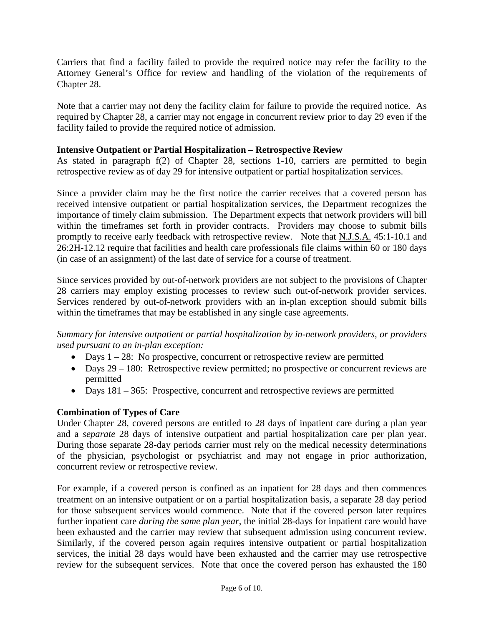Carriers that find a facility failed to provide the required notice may refer the facility to the Attorney General's Office for review and handling of the violation of the requirements of Chapter 28.

Note that a carrier may not deny the facility claim for failure to provide the required notice. As required by Chapter 28, a carrier may not engage in concurrent review prior to day 29 even if the facility failed to provide the required notice of admission.

## **Intensive Outpatient or Partial Hospitalization – Retrospective Review**

As stated in paragraph f(2) of Chapter 28, sections 1-10, carriers are permitted to begin retrospective review as of day 29 for intensive outpatient or partial hospitalization services.

Since a provider claim may be the first notice the carrier receives that a covered person has received intensive outpatient or partial hospitalization services, the Department recognizes the importance of timely claim submission. The Department expects that network providers will bill within the timeframes set forth in provider contracts. Providers may choose to submit bills promptly to receive early feedback with retrospective review. Note that N.J.S.A. 45:1-10.1 and 26:2H-12.12 require that facilities and health care professionals file claims within 60 or 180 days (in case of an assignment) of the last date of service for a course of treatment.

Since services provided by out-of-network providers are not subject to the provisions of Chapter 28 carriers may employ existing processes to review such out-of-network provider services. Services rendered by out-of-network providers with an in-plan exception should submit bills within the timeframes that may be established in any single case agreements.

*Summary for intensive outpatient or partial hospitalization by in-network providers, or providers used pursuant to an in-plan exception:*

- Days  $1 28$ : No prospective, concurrent or retrospective review are permitted
- Days 29 180: Retrospective review permitted; no prospective or concurrent reviews are permitted
- Days 181 365: Prospective, concurrent and retrospective reviews are permitted

# **Combination of Types of Care**

Under Chapter 28, covered persons are entitled to 28 days of inpatient care during a plan year and a *separate* 28 days of intensive outpatient and partial hospitalization care per plan year. During those separate 28-day periods carrier must rely on the medical necessity determinations of the physician, psychologist or psychiatrist and may not engage in prior authorization, concurrent review or retrospective review.

For example, if a covered person is confined as an inpatient for 28 days and then commences treatment on an intensive outpatient or on a partial hospitalization basis, a separate 28 day period for those subsequent services would commence. Note that if the covered person later requires further inpatient care *during the same plan year*, the initial 28-days for inpatient care would have been exhausted and the carrier may review that subsequent admission using concurrent review. Similarly, if the covered person again requires intensive outpatient or partial hospitalization services, the initial 28 days would have been exhausted and the carrier may use retrospective review for the subsequent services. Note that once the covered person has exhausted the 180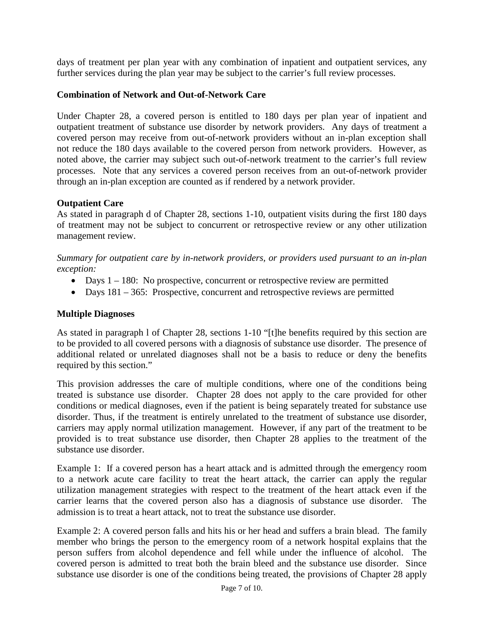days of treatment per plan year with any combination of inpatient and outpatient services, any further services during the plan year may be subject to the carrier's full review processes.

## **Combination of Network and Out-of-Network Care**

Under Chapter 28, a covered person is entitled to 180 days per plan year of inpatient and outpatient treatment of substance use disorder by network providers. Any days of treatment a covered person may receive from out-of-network providers without an in-plan exception shall not reduce the 180 days available to the covered person from network providers. However, as noted above, the carrier may subject such out-of-network treatment to the carrier's full review processes. Note that any services a covered person receives from an out-of-network provider through an in-plan exception are counted as if rendered by a network provider.

## **Outpatient Care**

As stated in paragraph d of Chapter 28, sections 1-10, outpatient visits during the first 180 days of treatment may not be subject to concurrent or retrospective review or any other utilization management review.

*Summary for outpatient care by in-network providers, or providers used pursuant to an in-plan exception:*

- Days  $1 180$ : No prospective, concurrent or retrospective review are permitted
- Days 181 365: Prospective, concurrent and retrospective reviews are permitted

## **Multiple Diagnoses**

As stated in paragraph l of Chapter 28, sections 1-10 "[t]he benefits required by this section are to be provided to all covered persons with a diagnosis of substance use disorder. The presence of additional related or unrelated diagnoses shall not be a basis to reduce or deny the benefits required by this section."

This provision addresses the care of multiple conditions, where one of the conditions being treated is substance use disorder. Chapter 28 does not apply to the care provided for other conditions or medical diagnoses, even if the patient is being separately treated for substance use disorder. Thus, if the treatment is entirely unrelated to the treatment of substance use disorder, carriers may apply normal utilization management. However, if any part of the treatment to be provided is to treat substance use disorder, then Chapter 28 applies to the treatment of the substance use disorder.

Example 1: If a covered person has a heart attack and is admitted through the emergency room to a network acute care facility to treat the heart attack, the carrier can apply the regular utilization management strategies with respect to the treatment of the heart attack even if the carrier learns that the covered person also has a diagnosis of substance use disorder. The admission is to treat a heart attack, not to treat the substance use disorder.

Example 2: A covered person falls and hits his or her head and suffers a brain blead. The family member who brings the person to the emergency room of a network hospital explains that the person suffers from alcohol dependence and fell while under the influence of alcohol. The covered person is admitted to treat both the brain bleed and the substance use disorder. Since substance use disorder is one of the conditions being treated, the provisions of Chapter 28 apply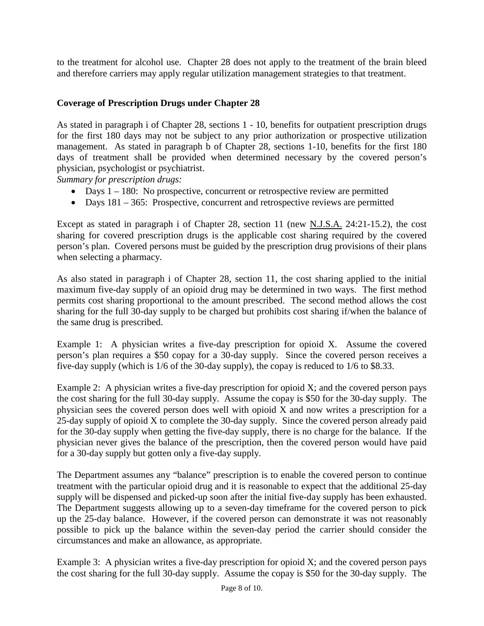to the treatment for alcohol use. Chapter 28 does not apply to the treatment of the brain bleed and therefore carriers may apply regular utilization management strategies to that treatment.

# **Coverage of Prescription Drugs under Chapter 28**

As stated in paragraph i of Chapter 28, sections 1 - 10, benefits for outpatient prescription drugs for the first 180 days may not be subject to any prior authorization or prospective utilization management. As stated in paragraph b of Chapter 28, sections 1-10, benefits for the first 180 days of treatment shall be provided when determined necessary by the covered person's physician, psychologist or psychiatrist.

*Summary for prescription drugs:*

- Days  $1 180$ : No prospective, concurrent or retrospective review are permitted
- Days 181 365: Prospective, concurrent and retrospective reviews are permitted

Except as stated in paragraph i of Chapter 28, section 11 (new N.J.S.A. 24:21-15.2), the cost sharing for covered prescription drugs is the applicable cost sharing required by the covered person's plan. Covered persons must be guided by the prescription drug provisions of their plans when selecting a pharmacy.

As also stated in paragraph i of Chapter 28, section 11, the cost sharing applied to the initial maximum five-day supply of an opioid drug may be determined in two ways. The first method permits cost sharing proportional to the amount prescribed. The second method allows the cost sharing for the full 30-day supply to be charged but prohibits cost sharing if/when the balance of the same drug is prescribed.

Example 1: A physician writes a five-day prescription for opioid X. Assume the covered person's plan requires a \$50 copay for a 30-day supply. Since the covered person receives a five-day supply (which is 1/6 of the 30-day supply), the copay is reduced to 1/6 to \$8.33.

Example 2: A physician writes a five-day prescription for opioid  $X$ ; and the covered person pays the cost sharing for the full 30-day supply. Assume the copay is \$50 for the 30-day supply. The physician sees the covered person does well with opioid  $\overline{X}$  and now writes a prescription for a 25-day supply of opioid X to complete the 30-day supply. Since the covered person already paid for the 30-day supply when getting the five-day supply, there is no charge for the balance. If the physician never gives the balance of the prescription, then the covered person would have paid for a 30-day supply but gotten only a five-day supply.

The Department assumes any "balance" prescription is to enable the covered person to continue treatment with the particular opioid drug and it is reasonable to expect that the additional 25-day supply will be dispensed and picked-up soon after the initial five-day supply has been exhausted. The Department suggests allowing up to a seven-day timeframe for the covered person to pick up the 25-day balance. However, if the covered person can demonstrate it was not reasonably possible to pick up the balance within the seven-day period the carrier should consider the circumstances and make an allowance, as appropriate.

Example 3: A physician writes a five-day prescription for opioid  $X$ ; and the covered person pays the cost sharing for the full 30-day supply. Assume the copay is \$50 for the 30-day supply. The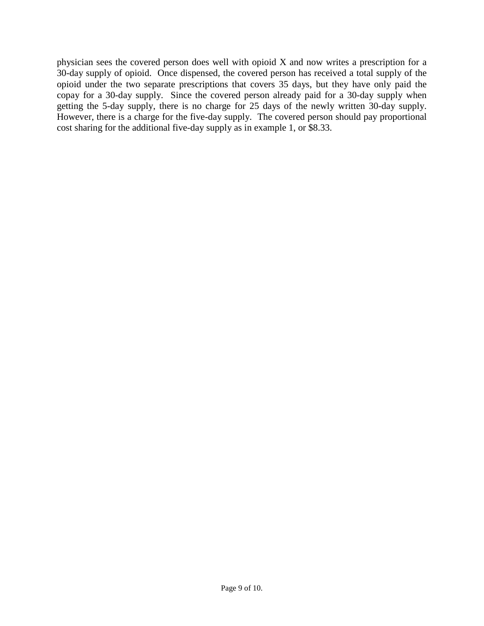physician sees the covered person does well with opioid X and now writes a prescription for a 30-day supply of opioid. Once dispensed, the covered person has received a total supply of the opioid under the two separate prescriptions that covers 35 days, but they have only paid the copay for a 30-day supply. Since the covered person already paid for a 30-day supply when getting the 5-day supply, there is no charge for 25 days of the newly written 30-day supply. However, there is a charge for the five-day supply. The covered person should pay proportional cost sharing for the additional five-day supply as in example 1, or \$8.33.